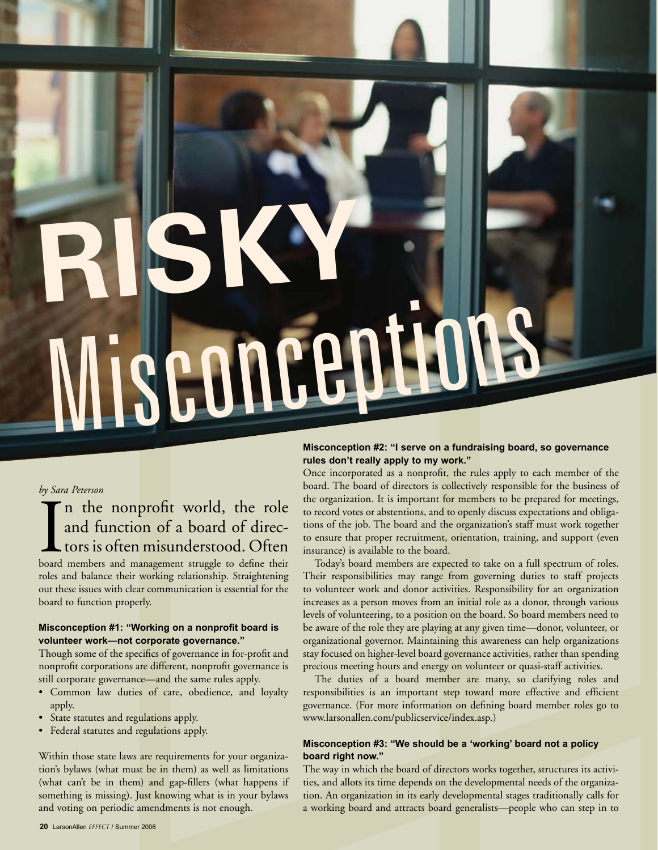# **RISKY** Misconception<sup>s</sup>

### *by Sara Peterson*

# In the nonprofit world, the role<br>and function of a board of direc-<br>tors is often misunderstood. Often<br>board members and management struggle to define their n the nonprofit world, the role and function of a board of directors is often misunderstood. Often

roles and balance their working relationship. Straightening out these issues with clear communication is essential for the board to function properly.

### **Misconception #1: "Working on a nonprofit board is volunteer work—not corporate governance."**

Though some of the specifics of governance in for-profit and nonprofit corporations are different, nonprofit governance is still corporate governance—and the same rules apply.

- Common law duties of care, obedience, and loyalty apply.
- State statutes and regulations apply.
- Federal statutes and regulations apply.

Within those state laws are requirements for your organization's bylaws (what must be in them) as well as limitations (what can't be in them) and gap-fillers (what happens if something is missing). Just knowing what is in your bylaws and voting on periodic amendments is not enough.

# **Misconception #2: "I serve on a fundraising board, so governance rules don't really apply to my work."**

Once incorporated as a nonprofit, the rules apply to each member of the board. The board of directors is collectively responsible for the business of the organization. It is important for members to be prepared for meetings, to record votes or abstentions, and to openly discuss expectations and obligations of the job. The board and the organization's staff must work together to ensure that proper recruitment, orientation, training, and support (even insurance) is available to the board.

Today's board members are expected to take on a full spectrum of roles. Their responsibilities may range from governing duties to staff projects to volunteer work and donor activities. Responsibility for an organization increases as a person moves from an initial role as a donor, through various levels of volunteering, to a position on the board. So board members need to be aware of the role they are playing at any given time—donor, volunteer, or organizational governor. Maintaining this awareness can help organizations stay focused on higher-level board governance activities, rather than spending precious meeting hours and energy on volunteer or quasi-staff activities.

The duties of a board member are many, so clarifying roles and responsibilities is an important step toward more effective and efficient governance. (For more information on defining board member roles go to www.larsonallen.com/publicservice/index.asp.)

# **Misconception #3: "We should be a 'working' board not a policy board right now."**

The way in which the board of directors works together, structures its activities, and allots its time depends on the developmental needs of the organization. An organization in its early developmental stages traditionally calls for a working board and attracts board generalists—people who can step in to